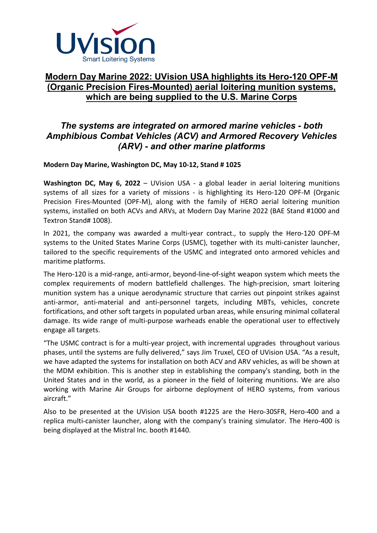

# **Modern Day Marine 2022: UVision USA highlights its Hero-120 OPF-M (Organic Precision Fires-Mounted) aerial loitering munition systems, which are being supplied to the U.S. Marine Corps**

## *The systems are integrated on armored marine vehicles - both Amphibious Combat Vehicles (ACV) and Armored Recovery Vehicles (ARV) - and other marine platforms*

### **Modern Day Marine, Washington DC, May 10-12, Stand # 1025**

**Washington DC, May 6, 2022** – UVision USA - a global leader in aerial loitering munitions systems of all sizes for a variety of missions - is highlighting its Hero-120 OPF-M (Organic Precision Fires-Mounted (OPF-M), along with the family of HERO aerial loitering munition systems, installed on both ACVs and ARVs, at Modern Day Marine 2022 (BAE Stand #1000 and Textron Stand# 1008).

In 2021, the company was awarded a multi-year contract., to supply the Hero-120 OPF-M systems to the United States Marine Corps (USMC), together with its multi-canister launcher, tailored to the specific requirements of the USMC and integrated onto armored vehicles and maritime platforms.

The Hero-120 is a mid-range, anti-armor, beyond-line-of-sight weapon system which meets the complex requirements of modern battlefield challenges. The high-precision, smart loitering munition system has a unique aerodynamic structure that carries out pinpoint strikes against anti-armor, anti-material and anti-personnel targets, including MBTs, vehicles, concrete fortifications, and other soft targets in populated urban areas, while ensuring minimal collateral damage. Its wide range of multi-purpose warheads enable the operational user to effectively engage all targets.

"The USMC contract is for a multi-year project, with incremental upgrades throughout various phases, until the systems are fully delivered," says Jim Truxel, CEO of UVision USA. "As a result, we have adapted the systems for installation on both ACV and ARV vehicles, as will be shown at the MDM exhibition. This is another step in establishing the company's standing, both in the United States and in the world, as a pioneer in the field of loitering munitions. We are also working with Marine Air Groups for airborne deployment of HERO systems, from various aircraft."

Also to be presented at the UVision USA booth #1225 are the Hero-30SFR, Hero-400 and a replica multi-canister launcher, along with the company's training simulator. The Hero-400 is being displayed at the Mistral Inc. booth #1440.